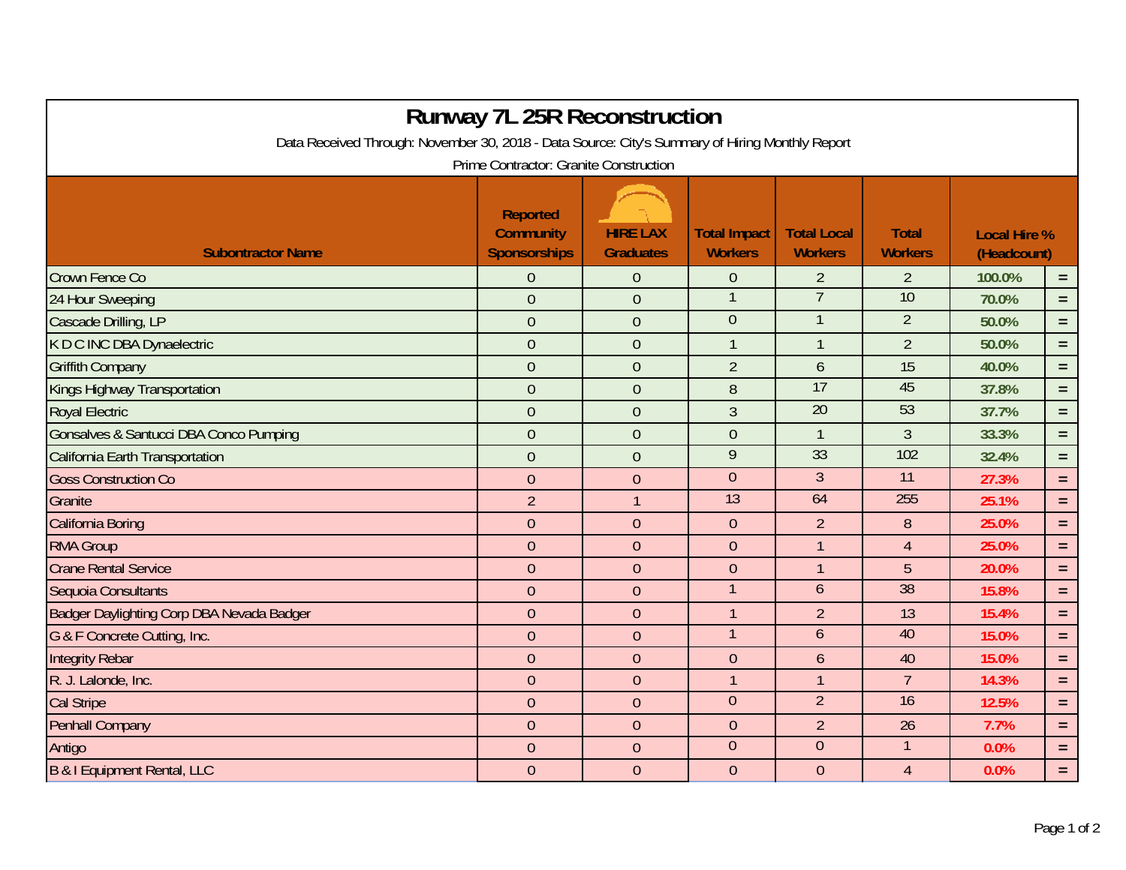| <b>Runway 7L 25R Reconstruction</b>                                                             |                                                            |                                     |                                       |                                      |                                |                                    |          |  |  |  |  |  |  |
|-------------------------------------------------------------------------------------------------|------------------------------------------------------------|-------------------------------------|---------------------------------------|--------------------------------------|--------------------------------|------------------------------------|----------|--|--|--|--|--|--|
| Data Received Through: November 30, 2018 - Data Source: City's Summary of Hiring Monthly Report |                                                            |                                     |                                       |                                      |                                |                                    |          |  |  |  |  |  |  |
| Prime Contractor: Granite Construction                                                          |                                                            |                                     |                                       |                                      |                                |                                    |          |  |  |  |  |  |  |
| <b>Subontractor Name</b>                                                                        | <b>Reported</b><br><b>Community</b><br><b>Sponsorships</b> | <b>HIRE LAX</b><br><b>Graduates</b> | <b>Total Impact</b><br><b>Workers</b> | <b>Total Local</b><br><b>Workers</b> | <b>Total</b><br><b>Workers</b> | <b>Local Hire %</b><br>(Headcount) |          |  |  |  |  |  |  |
| Crown Fence Co                                                                                  | $\overline{0}$                                             | $\theta$                            | $\theta$                              | $\overline{2}$                       | $\overline{2}$                 | 100.0%                             | $\equiv$ |  |  |  |  |  |  |
| 24 Hour Sweeping                                                                                | $\overline{0}$                                             | $\theta$                            |                                       | $\overline{7}$                       | 10                             | 70.0%                              | $=$      |  |  |  |  |  |  |
| Cascade Drilling, LP                                                                            | $\mathbf 0$                                                | $\theta$                            | $\overline{0}$                        |                                      | $\overline{2}$                 | 50.0%                              | $=$      |  |  |  |  |  |  |
| K D C INC DBA Dynaelectric                                                                      | $\overline{0}$                                             | $\theta$                            | $\overline{1}$                        | $\mathbf{1}$                         | $\overline{2}$                 | 50.0%                              | $=$      |  |  |  |  |  |  |
| <b>Griffith Company</b>                                                                         | $\overline{0}$                                             | $\theta$                            | $\overline{2}$                        | 6                                    | 15                             | 40.0%                              | $=$      |  |  |  |  |  |  |
| Kings Highway Transportation                                                                    | $\overline{0}$                                             | $\theta$                            | 8                                     | 17                                   | 45                             | 37.8%                              | $=$      |  |  |  |  |  |  |
| <b>Royal Electric</b>                                                                           | $\mathbf 0$                                                | $\theta$                            | $\mathfrak{Z}$                        | 20                                   | 53                             | 37.7%                              | $=$      |  |  |  |  |  |  |
| Gonsalves & Santucci DBA Conco Pumping                                                          | $\overline{0}$                                             | $\overline{0}$                      | $\overline{0}$                        | $\mathbf{1}$                         | $\overline{3}$                 | 33.3%                              | $=$      |  |  |  |  |  |  |
| California Earth Transportation                                                                 | $\overline{0}$                                             | $\theta$                            | $\overline{9}$                        | 33                                   | 102                            | 32.4%                              | $=$      |  |  |  |  |  |  |
| <b>Goss Construction Co</b>                                                                     | $\overline{0}$                                             | $\overline{0}$                      | $\theta$                              | $\overline{3}$                       | 11                             | 27.3%                              | $=$      |  |  |  |  |  |  |
| Granite                                                                                         | $\overline{2}$                                             | $\overline{1}$                      | 13                                    | 64                                   | 255                            | 25.1%                              | $=$      |  |  |  |  |  |  |
| <b>California Boring</b>                                                                        | $\overline{0}$                                             | $\theta$                            | $\theta$                              | $\overline{2}$                       | 8                              | 25.0%                              | $=$      |  |  |  |  |  |  |
| <b>RMA Group</b>                                                                                | $\overline{0}$                                             | $\overline{0}$                      | $\overline{0}$                        | $\mathbf{1}$                         | $\overline{4}$                 | 25.0%                              | $=$      |  |  |  |  |  |  |
| <b>Crane Rental Service</b>                                                                     | $\overline{0}$                                             | $\theta$                            | $\overline{0}$                        | $\mathbf{1}$                         | 5                              | 20.0%                              | $=$      |  |  |  |  |  |  |
| Sequoia Consultants                                                                             | $\overline{0}$                                             | $\overline{0}$                      |                                       | 6                                    | 38                             | 15.8%                              | $=$      |  |  |  |  |  |  |
| Badger Daylighting Corp DBA Nevada Badger                                                       | $\overline{0}$                                             | $\theta$                            | $\overline{1}$                        | $\overline{2}$                       | 13                             | 15.4%                              | $=$      |  |  |  |  |  |  |
| G & F Concrete Cutting, Inc.                                                                    | $\overline{0}$                                             | $\theta$                            | $\overline{1}$                        | 6                                    | 40                             | 15.0%                              | $=$      |  |  |  |  |  |  |
| <b>Integrity Rebar</b>                                                                          | $\overline{0}$                                             | $\theta$                            | $\overline{0}$                        | 6                                    | 40                             | 15.0%                              | $=$      |  |  |  |  |  |  |
| R. J. Lalonde, Inc.                                                                             | $\overline{0}$                                             | $\mathbf{0}$                        | $\overline{1}$                        | $\mathbf{1}$                         | $\overline{7}$                 | 14.3%                              | $\equiv$ |  |  |  |  |  |  |
| <b>Cal Stripe</b>                                                                               | $\mathbf 0$                                                | $\boldsymbol{0}$                    | $\theta$                              | $\overline{2}$                       | $\overline{16}$                | 12.5%                              | $=$      |  |  |  |  |  |  |
| <b>Penhall Company</b>                                                                          | $\mathbf 0$                                                | $\theta$                            | $\theta$                              | $\overline{2}$                       | 26                             | 7.7%                               | $\equiv$ |  |  |  |  |  |  |
| Antigo                                                                                          | $\mathbf 0$                                                | $\overline{0}$                      | $\overline{0}$                        | $\overline{0}$                       | $\mathbf{1}$                   | 0.0%                               | $=$      |  |  |  |  |  |  |
| B & I Equipment Rental, LLC                                                                     | $\overline{0}$                                             | $\overline{0}$                      | $\overline{0}$                        | $\overline{0}$                       | $\overline{4}$                 | 0.0%                               | $=$      |  |  |  |  |  |  |